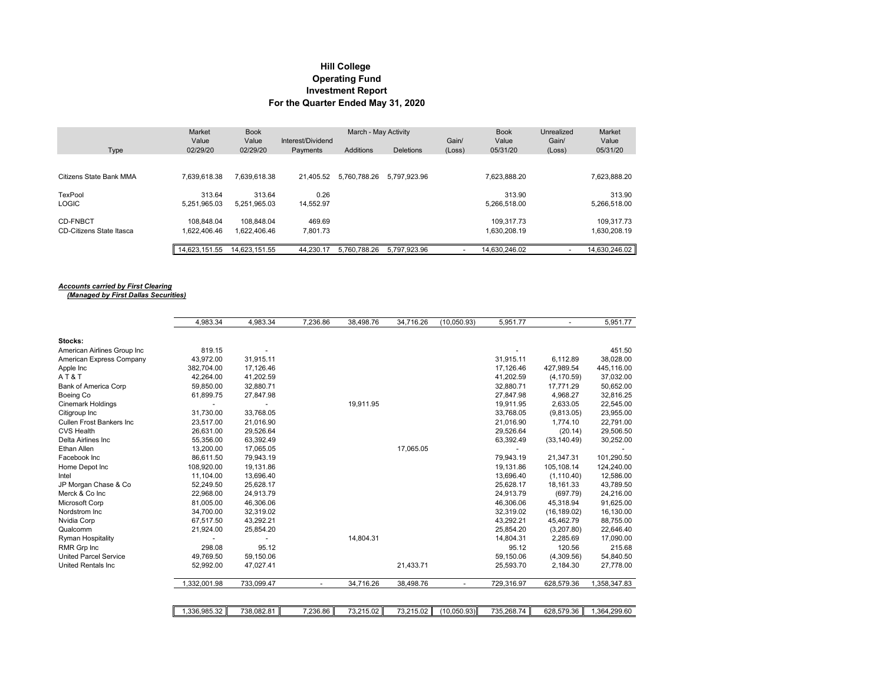## **Hill College Investment Report For the Quarter Ended May 31, 2020 Operating Fund**

|                          | <b>Market</b><br>Value | <b>Book</b><br>Value | Interest/Dividend | March - May Activity<br>Gain/ |                  |                          | <b>Book</b><br>Value | Unrealized<br>Gain/ | Market<br>Value |
|--------------------------|------------------------|----------------------|-------------------|-------------------------------|------------------|--------------------------|----------------------|---------------------|-----------------|
| Type                     | 02/29/20               | 02/29/20             | Payments          | Additions                     | <b>Deletions</b> | (Loss)                   | 05/31/20             | (Loss)              | 05/31/20        |
|                          |                        |                      |                   |                               |                  |                          |                      |                     |                 |
| Citizens State Bank MMA  | 7.639.618.38           | 7.639.618.38         | 21.405.52         | 5.760.788.26                  | 5.797.923.96     |                          | 7.623.888.20         |                     | 7,623,888.20    |
| TexPool                  | 313.64                 | 313.64               | 0.26              |                               |                  |                          | 313.90               |                     | 313.90          |
| <b>LOGIC</b>             | 5.251.965.03           | 5.251.965.03         | 14.552.97         |                               |                  |                          | 5.266.518.00         |                     | 5.266.518.00    |
| <b>CD-FNBCT</b>          | 108.848.04             | 108.848.04           | 469.69            |                               |                  |                          | 109.317.73           |                     | 109.317.73      |
| CD-Citizens State Itasca | .622.406.46            | 1.622.406.46         | 7.801.73          |                               |                  |                          | 1.630.208.19         |                     | 1.630.208.19    |
|                          | 14.623.151.55          | 14.623.151.55        | 44,230.17         | 5.760.788.26                  | 5.797.923.96     | $\overline{\phantom{0}}$ | 14.630.246.02        |                     | 14,630,246.02   |

## *Accounts carried by First Clearing (Managed by First Dallas Securities)*

|                                 | 4.983.34     | 4,983.34       | 7,236.86 | 38,498.76 | 34,716.26 | (10,050.93) | 5,951.77   |              | 5,951.77     |
|---------------------------------|--------------|----------------|----------|-----------|-----------|-------------|------------|--------------|--------------|
| Stocks:                         |              |                |          |           |           |             |            |              |              |
| American Airlines Group Inc     | 819.15       | $\blacksquare$ |          |           |           |             |            |              | 451.50       |
| American Express Company        | 43,972.00    | 31,915.11      |          |           |           |             | 31,915.11  | 6,112.89     | 38,028.00    |
| Apple Inc                       | 382,704.00   | 17,126.46      |          |           |           |             | 17,126.46  | 427,989.54   | 445,116.00   |
| AT&T                            | 42.264.00    | 41,202.59      |          |           |           |             | 41.202.59  | (4, 170.59)  | 37,032.00    |
| <b>Bank of America Corp</b>     | 59,850.00    | 32,880.71      |          |           |           |             | 32,880.71  | 17.771.29    | 50,652.00    |
| Boeing Co                       | 61,899.75    | 27,847.98      |          |           |           |             | 27,847.98  | 4,968.27     | 32,816.25    |
| <b>Cinemark Holdings</b>        |              |                |          | 19,911.95 |           |             | 19,911.95  | 2,633.05     | 22,545.00    |
| Citigroup Inc                   | 31,730.00    | 33,768.05      |          |           |           |             | 33,768.05  | (9,813.05)   | 23,955.00    |
| <b>Cullen Frost Bankers Inc</b> | 23,517.00    | 21,016.90      |          |           |           |             | 21,016.90  | 1,774.10     | 22,791.00    |
| <b>CVS Health</b>               | 26,631.00    | 29,526.64      |          |           |           |             | 29,526.64  | (20.14)      | 29,506.50    |
| Delta Airlines Inc              | 55,356.00    | 63,392.49      |          |           |           |             | 63,392.49  | (33, 140.49) | 30,252.00    |
| Ethan Allen                     | 13,200.00    | 17,065.05      |          |           | 17,065.05 |             |            |              |              |
| Facebook Inc                    | 86.611.50    | 79.943.19      |          |           |           |             | 79.943.19  | 21.347.31    | 101,290.50   |
| Home Depot Inc                  | 108,920.00   | 19,131.86      |          |           |           |             | 19.131.86  | 105,108.14   | 124,240.00   |
| Intel                           | 11,104.00    | 13,696.40      |          |           |           |             | 13,696.40  | (1, 110.40)  | 12,586.00    |
| JP Morgan Chase & Co            | 52,249.50    | 25,628.17      |          |           |           |             | 25,628.17  | 18,161.33    | 43,789.50    |
| Merck & Co Inc                  | 22,968.00    | 24,913.79      |          |           |           |             | 24,913.79  | (697.79)     | 24,216.00    |
| Microsoft Corp                  | 81,005.00    | 46,306.06      |          |           |           |             | 46,306.06  | 45,318.94    | 91,625.00    |
| Nordstrom Inc                   | 34,700.00    | 32.319.02      |          |           |           |             | 32,319.02  | (16, 189.02) | 16,130.00    |
| Nvidia Corp                     | 67,517.50    | 43,292.21      |          |           |           |             | 43,292.21  | 45,462.79    | 88,755.00    |
| Qualcomm                        | 21,924.00    | 25,854.20      |          |           |           |             | 25,854.20  | (3,207.80)   | 22,646.40    |
| <b>Ryman Hospitality</b>        |              |                |          | 14,804.31 |           |             | 14.804.31  | 2,285.69     | 17,090.00    |
| RMR Grp Inc                     | 298.08       | 95.12          |          |           |           |             | 95.12      | 120.56       | 215.68       |
| <b>United Parcel Service</b>    | 49.769.50    | 59,150.06      |          |           |           |             | 59,150.06  | (4,309.56)   | 54,840.50    |
| <b>United Rentals Inc.</b>      | 52,992.00    | 47,027.41      |          |           | 21,433.71 |             | 25,593.70  | 2,184.30     | 27,778.00    |
|                                 | 1,332,001.98 | 733,099.47     |          | 34,716.26 | 38,498.76 |             | 729,316.97 | 628,579.36   | 1,358,347.83 |
|                                 |              |                |          |           |           |             |            |              |              |
|                                 | 1,336,985.32 | 738,082.81     | 7,236.86 | 73,215.02 | 73,215.02 | (10,050.93) | 735,268.74 | 628,579.36   | 1,364,299.60 |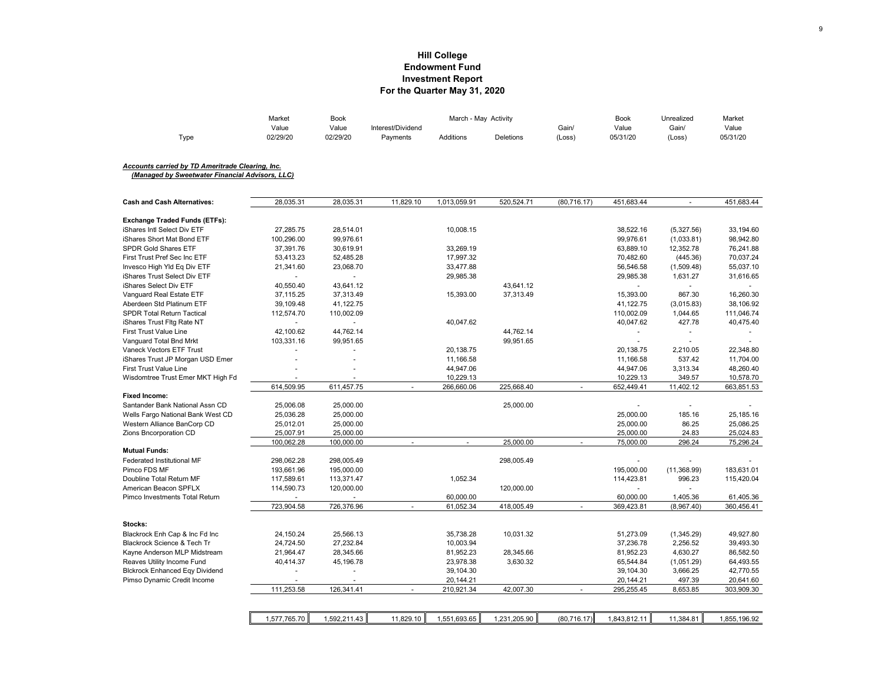## **Hill College Investment Report For the Quarter May 31, 2020 Endowment Fund**

|                                                  | Market         | Book         |                   | March - May Activity |                  |                             | Book         | Unrealized               | Market       |
|--------------------------------------------------|----------------|--------------|-------------------|----------------------|------------------|-----------------------------|--------------|--------------------------|--------------|
|                                                  | Value          | Value        | Interest/Dividend |                      |                  | Gain/                       | Value        | Gain/                    | Value        |
| Type                                             | 02/29/20       | 02/29/20     | Payments          | <b>Additions</b>     | <b>Deletions</b> | (Loss)                      | 05/31/20     | (Loss)                   | 05/31/20     |
| Accounts carried by TD Ameritrade Clearing, Inc. |                |              |                   |                      |                  |                             |              |                          |              |
| (Managed by Sweetwater Financial Advisors, LLC)  |                |              |                   |                      |                  |                             |              |                          |              |
|                                                  |                |              |                   |                      |                  |                             |              |                          |              |
| <b>Cash and Cash Alternatives:</b>               | 28,035.31      | 28,035.31    | 11,829.10         | 1,013,059.91         | 520,524.71       | (80, 716.17)                | 451,683.44   | $\sim$                   | 451,683.44   |
| <b>Exchange Traded Funds (ETFs):</b>             |                |              |                   |                      |                  |                             |              |                          |              |
| Shares Intl Select Div ETF                       | 27,285.75      | 28,514.01    |                   | 10,008.15            |                  |                             | 38,522.16    | (5,327.56)               | 33,194.60    |
| Shares Short Mat Bond ETF                        | 100,296.00     | 99.976.61    |                   |                      |                  |                             | 99,976.61    | (1,033.81)               | 98,942.80    |
| <b>SPDR Gold Shares ETF</b>                      | 37,391.76      | 30,619.91    |                   | 33,269.19            |                  |                             | 63,889.10    | 12,352.78                | 76,241.88    |
| First Trust Pref Sec Inc ETF                     | 53,413.23      | 52,485.28    |                   | 17,997.32            |                  |                             | 70,482.60    | (445.36)                 | 70,037.24    |
| Invesco High YId Eg Div ETF                      | 21,341.60      | 23,068.70    |                   | 33,477.88            |                  |                             | 56,546.58    | (1,509.48)               | 55,037.10    |
| iShares Trust Select Div ETF                     | ä,             |              |                   | 29,985.38            |                  |                             | 29,985.38    | 1,631.27                 | 31,616.65    |
| iShares Select Div ETF                           | 40,550.40      | 43,641.12    |                   |                      | 43,641.12        |                             |              |                          |              |
| Vanguard Real Estate ETF                         | 37,115.25      | 37,313.49    |                   | 15,393.00            | 37,313.49        |                             | 15,393.00    | 867.30                   | 16,260.30    |
| Aberdeen Std Platinum ETF                        | 39,109.48      | 41,122.75    |                   |                      |                  |                             | 41,122.75    | (3,015.83)               | 38,106.92    |
| <b>SPDR Total Return Tactical</b>                | 112,574.70     | 110,002.09   |                   |                      |                  |                             | 110,002.09   | 1,044.65                 | 111,046.74   |
| iShares Trust Fltg Rate NT                       | $\omega$       | ä,           |                   | 40,047.62            |                  |                             | 40,047.62    | 427.78                   | 40,475.40    |
| <b>First Trust Value Line</b>                    | 42,100.62      | 44,762.14    |                   |                      | 44,762.14        |                             |              | $\overline{\phantom{a}}$ |              |
| Vanguard Total Bnd Mrkt                          | 103,331.16     | 99,951.65    |                   |                      | 99,951.65        |                             | ÷.           |                          |              |
| Vaneck Vectors ETF Trust                         | ٠              | ä,           |                   | 20,138.75            |                  |                             | 20,138.75    | 2,210.05                 | 22,348.80    |
| iShares Trust JP Morgan USD Emer                 |                |              |                   | 11,166.58            |                  |                             | 11,166.58    | 537.42                   | 11.704.00    |
| First Trust Value Line                           |                |              |                   | 44,947.06            |                  |                             | 44,947.06    | 3,313.34                 | 48,260.40    |
| Wisdomtree Trust Emer MKT High Fd                |                |              |                   | 10,229.13            |                  |                             | 10,229.13    | 349.57                   | 10,578.70    |
|                                                  | 614,509.95     | 611,457.75   | ä,                | 266,660.06           | 225,668.40       |                             | 652,449.41   | 11,402.12                | 663,851.53   |
| Fixed Income:                                    |                |              |                   |                      |                  |                             |              |                          |              |
| Santander Bank National Assn CD                  | 25,006.08      | 25,000.00    |                   |                      | 25,000.00        |                             |              | ÷.                       |              |
| Wells Fargo National Bank West CD                | 25,036.28      | 25,000.00    |                   |                      |                  |                             | 25,000.00    | 185.16                   | 25,185.16    |
| Western Alliance BanCorp CD                      | 25,012.01      | 25,000.00    |                   |                      |                  |                             | 25,000.00    | 86.25                    | 25,086.25    |
| Zions Bncorporation CD                           | 25,007.91      | 25,000.00    |                   |                      |                  |                             | 25,000.00    | 24.83                    | 25,024.83    |
|                                                  | 100,062.28     | 100,000.00   | ä,                | $\blacksquare$       | 25,000.00        | ä,                          | 75,000.00    | 296.24                   | 75,296.24    |
| <b>Mutual Funds:</b>                             |                |              |                   |                      |                  |                             |              |                          |              |
| <b>Federated Institutional MF</b>                | 298,062.28     | 298,005.49   |                   |                      | 298,005.49       |                             |              |                          |              |
| Pimco FDS MF                                     | 193,661.96     | 195,000.00   |                   |                      |                  |                             | 195,000.00   | (11,368.99)              | 183,631.01   |
| Doubline Total Return MF                         | 117,589.61     | 113,371.47   |                   | 1,052.34             |                  |                             | 114,423.81   | 996.23                   | 115,420.04   |
| American Beacon SPFLX                            | 114,590.73     | 120,000.00   |                   |                      | 120,000.00       |                             |              |                          |              |
| Pimco Investments Total Return                   |                |              |                   | 60,000.00            |                  |                             | 60,000.00    | 1,405.36                 | 61,405.36    |
|                                                  | 723,904.58     | 726,376.96   | $\blacksquare$    | 61,052.34            | 418,005.49       | $\mathcal{L}_{\mathcal{A}}$ | 369,423.81   | (8,967.40)               | 360,456.41   |
|                                                  |                |              |                   |                      |                  |                             |              |                          |              |
| Stocks:                                          |                |              |                   |                      |                  |                             |              |                          |              |
| Blackrock Enh Cap & Inc Fd Inc                   | 24,150.24      | 25,566.13    |                   | 35,738.28            | 10,031.32        |                             | 51,273.09    | (1,345.29)               | 49,927.80    |
| Blackrock Science & Tech Tr                      | 24,724.50      | 27,232.84    |                   | 10,003.94            |                  |                             | 37,236.78    | 2,256.52                 | 39,493.30    |
| Kayne Anderson MLP Midstream                     | 21,964.47      | 28,345.66    |                   | 81,952.23            | 28,345.66        |                             | 81,952.23    | 4,630.27                 | 86,582.50    |
| Reaves Utility Income Fund                       | 40,414.37      | 45,196.78    |                   | 23,978.38            | 3,630.32         |                             | 65,544.84    | (1,051.29)               | 64,493.55    |
| <b>Blckrock Enhanced Eqy Dividend</b>            | $\overline{a}$ | ٠            |                   | 39,104.30            |                  |                             | 39,104.30    | 3,666.25                 | 42,770.55    |
| Pimso Dynamic Credit Income                      |                |              |                   | 20,144.21            |                  |                             | 20,144.21    | 497.39                   | 20,641.60    |
|                                                  | 111,253.58     | 126,341.41   |                   | 210,921.34           | 42,007.30        | ÷.                          | 295,255.45   | 8,653.85                 | 303,909.30   |
|                                                  |                |              |                   |                      |                  |                             |              |                          |              |
|                                                  |                |              |                   |                      |                  |                             |              |                          |              |
|                                                  | 1,577,765.70   | 1,592,211.43 | 11,829.10         | 1,551,693.65         | 1,231,205.90     | (80, 716.17)                | 1,843,812.11 | 11,384.81                | 1,855,196.92 |